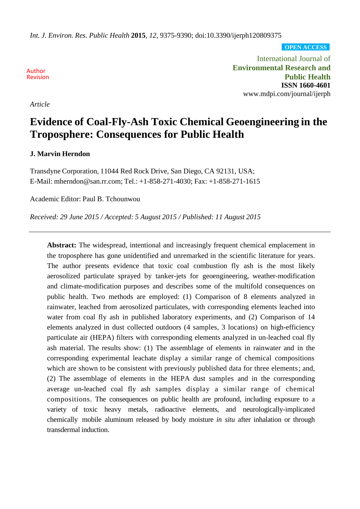*Int. J. Environ. Res. Public Health* **2015**, *12*, 9375-9390; doi:10.3390/ijerph120809375

**OPEN ACCESS**

Author Revision

*Article*

International Journal of **Environmental Research and Public Health ISSN 1660-4601** [www.mdpi.com/journal/ijerph](http://www.mdpi.com/journal/ijerph)

# **Evidence of Coal-Fly-Ash Toxic Chemical Geoengineering in the Troposphere: Consequences for Public Health**

## **J. Marvin Herndon**

Transdyne Corporation, 11044 Red Rock Drive, San Diego, CA 92131, USA; E-Mail: mherndon@san.rr.com; Tel.: +1-858-271-4030; Fax: +1-858-271-1615

Academic Editor: Paul B. Tchounwou

*Received: 29 June 2015 / Accepted: 5 August 2015 / Published: 11 August 2015*

**Abstract:** The widespread, intentional and increasingly frequent chemical emplacement in the troposphere has gone unidentified and unremarked in the scientific literature for years. The author presents evidence that toxic coal combustion fly ash is the most likely aerosolized particulate sprayed by tanker-jets for geoengineering, weather-modification and climate-modification purposes and describes some of the multifold consequences on public health. Two methods are employed: (1) Comparison of 8 elements analyzed in rainwater, leached from aerosolized particulates, with corresponding elements leached into water from coal fly ash in published laboratory experiments, and (2) Comparison of 14 elements analyzed in dust collected outdoors (4 samples, 3 locations) on high-efficiency particulate air (HEPA) filters with corresponding elements analyzed in un-leached coal fly ash material. The results show: (1) The assemblage of elements in rainwater and in the corresponding experimental leachate display a similar range of chemical compositions which are shown to be consistent with previously published data for three elements; and, (2) The assemblage of elements in the HEPA dust samples and in the corresponding average un-leached coal fly ash samples display a similar range of chemical compositions. The consequences on public health are profound, including exposure to a variety of toxic heavy metals, radioactive elements, and neurologically-implicated chemically mobile aluminum released by body moisture *in situ* after inhalation or through transdermal induction.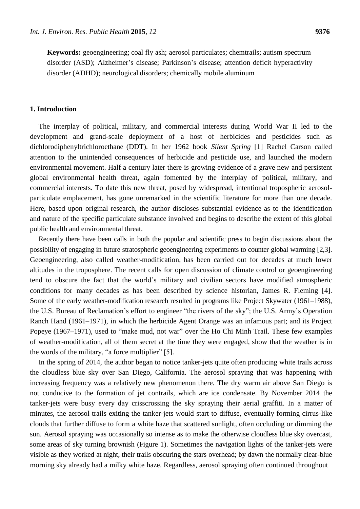**Keywords:** geoengineering; coal fly ash; aerosol particulates; chemtrails; autism spectrum disorder (ASD); Alzheimer's disease; Parkinson's disease; attention deficit hyperactivity disorder (ADHD); neurological disorders; chemically mobile aluminum

## **1. Introduction**

The interplay of political, military, and commercial interests during World War II led to the development and grand-scale deployment of a host of herbicides and pesticides such as dichlorodiphenyltrichloroethane (DDT). In her 1962 book *Silent Spring* [1] Rachel Carson called attention to the unintended consequences of herbicide and pesticide use, and launched the modern environmental movement. Half a century later there is growing evidence of a grave new and persistent global environmental health threat, again fomented by the interplay of political, military, and commercial interests. To date this new threat, posed by widespread, intentional tropospheric aerosolparticulate emplacement, has gone unremarked in the scientific literature for more than one decade. Here, based upon original research, the author discloses substantial evidence as to the identification and nature of the specific particulate substance involved and begins to describe the extent of this global public health and environmental threat.

Recently there have been calls in both the popular and scientific press to begin discussions about the possibility of engaging in future stratospheric geoengineering experiments to counter global warming [2,3]. Geoengineering, also called weather-modification, has been carried out for decades at much lower altitudes in the troposphere. The recent calls for open discussion of climate control or geoengineering tend to obscure the fact that the world's military and civilian sectors have modified atmospheric conditions for many decades as has been described by science historian, James R. Fleming [4]. Some of the early weather-modification research resulted in programs like Project Skywater (1961–1988), the U.S. Bureau of Reclamation's effort to engineer "the rivers of the sky"; the U.S. Army's Operation Ranch Hand (1961–1971), in which the herbicide Agent Orange was an infamous part; and its Project Popeye (1967–1971), used to "make mud, not war" over the Ho Chi Minh Trail. These few examples of weather-modification, all of them secret at the time they were engaged, show that the weather is in the words of the military, "a force multiplier" [5].

In the spring of 2014, the author began to notice tanker-jets quite often producing white trails across the cloudless blue sky over San Diego, California. The aerosol spraying that was happening with increasing frequency was a relatively new phenomenon there. The dry warm air above San Diego is not conducive to the formation of jet contrails, which are ice condensate. By November 2014 the tanker-jets were busy every day crisscrossing the sky spraying their aerial graffiti. In a matter of minutes, the aerosol trails exiting the tanker-jets would start to diffuse, eventually forming cirrus-like clouds that further diffuse to form a white haze that scattered sunlight, often occluding or dimming the sun. Aerosol spraying was occasionally so intense as to make the otherwise cloudless blue sky overcast, some areas of sky turning brownish (Figure 1). Sometimes the navigation lights of the tanker-jets were visible as they worked at night, their trails obscuring the stars overhead; by dawn the normally clear-blue morning sky already had a milky white haze. Regardless, aerosol spraying often continued throughout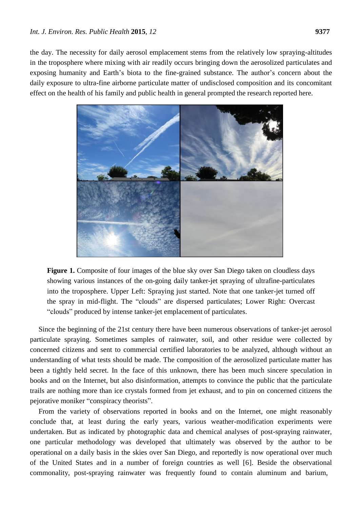the day. The necessity for daily aerosol emplacement stems from the relatively low spraying-altitudes in the troposphere where mixing with air readily occurs bringing down the aerosolized particulates and exposing humanity and Earth's biota to the fine-grained substance. The author's concern about the daily exposure to ultra-fine airborne particulate matter of undisclosed composition and its concomitant effect on the health of his family and public health in general prompted the research reported here.



**Figure 1.** Composite of four images of the blue sky over San Diego taken on cloudless days showing various instances of the on-going daily tanker-jet spraying of ultrafine-particulates into the troposphere. Upper Left: Spraying just started. Note that one tanker-jet turned off the spray in mid-flight. The "clouds" are dispersed particulates; Lower Right: Overcast "clouds" produced by intense tanker-jet emplacement of particulates.

Since the beginning of the 21st century there have been numerous observations of tanker-jet aerosol particulate spraying. Sometimes samples of rainwater, soil, and other residue were collected by concerned citizens and sent to commercial certified laboratories to be analyzed, although without an understanding of what tests should be made. The composition of the aerosolized particulate matter has been a tightly held secret. In the face of this unknown, there has been much sincere speculation in books and on the Internet, but also disinformation, attempts to convince the public that the particulate trails are nothing more than ice crystals formed from jet exhaust, and to pin on concerned citizens the pejorative moniker "conspiracy theorists".

From the variety of observations reported in books and on the Internet, one might reasonably conclude that, at least during the early years, various weather-modification experiments were undertaken. But as indicated by photographic data and chemical analyses of post-spraying rainwater, one particular methodology was developed that ultimately was observed by the author to be operational on a daily basis in the skies over San Diego, and reportedly is now operational over much of the United States and in a number of foreign countries as well [6]. Beside the observational commonality, post-spraying rainwater was frequently found to contain aluminum and barium,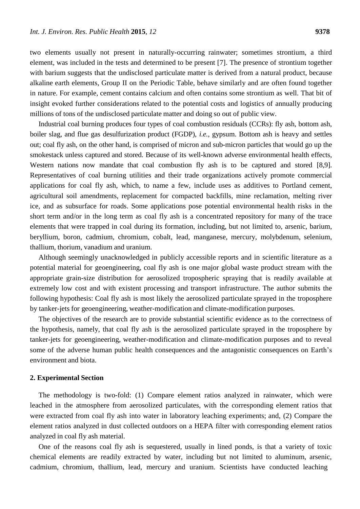two elements usually not present in naturally-occurring rainwater; sometimes strontium, a third element, was included in the tests and determined to be present [7]. The presence of strontium together with barium suggests that the undisclosed particulate matter is derived from a natural product, because alkaline earth elements, Group II on the Periodic Table, behave similarly and are often found together in nature. For example, cement contains calcium and often contains some strontium as well. That bit of insight evoked further considerations related to the potential costs and logistics of annually producing millions of tons of the undisclosed particulate matter and doing so out of public view.

Industrial coal burning produces four types of coal combustion residuals (CCRs): fly ash, bottom ash, boiler slag, and flue gas desulfurization product (FGDP), *i.e.*, gypsum. Bottom ash is heavy and settles out; coal fly ash, on the other hand, is comprised of micron and sub-micron particles that would go up the smokestack unless captured and stored. Because of its well-known adverse environmental health effects, Western nations now mandate that coal combustion fly ash is to be captured and stored [8,9]. Representatives of coal burning utilities and their trade organizations actively promote commercial applications for coal fly ash, which, to name a few, include uses as additives to Portland cement, agricultural soil amendments, replacement for compacted backfills, mine reclamation, melting river ice, and as subsurface for roads. Some applications pose potential environmental health risks in the short term and/or in the long term as coal fly ash is a concentrated repository for many of the trace elements that were trapped in coal during its formation, including, but not limited to, arsenic, barium, beryllium, boron, cadmium, chromium, cobalt, lead, manganese, mercury, molybdenum, selenium, thallium, thorium, vanadium and uranium.

Although seemingly unacknowledged in publicly accessible reports and in scientific literature as a potential material for geoengineering, coal fly ash is one major global waste product stream with the appropriate grain-size distribution for aerosolized tropospheric spraying that is readily available at extremely low cost and with existent processing and transport infrastructure. The author submits the following hypothesis: Coal fly ash is most likely the aerosolized particulate sprayed in the troposphere by tanker-jets for geoengineering, weather-modification and climate-modification purposes.

The objectives of the research are to provide substantial scientific evidence as to the correctness of the hypothesis, namely, that coal fly ash is the aerosolized particulate sprayed in the troposphere by tanker-jets for geoengineering, weather-modification and climate-modification purposes and to reveal some of the adverse human public health consequences and the antagonistic consequences on Earth's environment and biota.

#### **2. Experimental Section**

The methodology is two-fold: (1) Compare element ratios analyzed in rainwater, which were leached in the atmosphere from aerosolized particulates, with the corresponding element ratios that were extracted from coal fly ash into water in laboratory leaching experiments; and, (2) Compare the element ratios analyzed in dust collected outdoors on a HEPA filter with corresponding element ratios analyzed in coal fly ash material.

One of the reasons coal fly ash is sequestered, usually in lined ponds, is that a variety of toxic chemical elements are readily extracted by water, including but not limited to aluminum, arsenic, cadmium, chromium, thallium, lead, mercury and uranium. Scientists have conducted leaching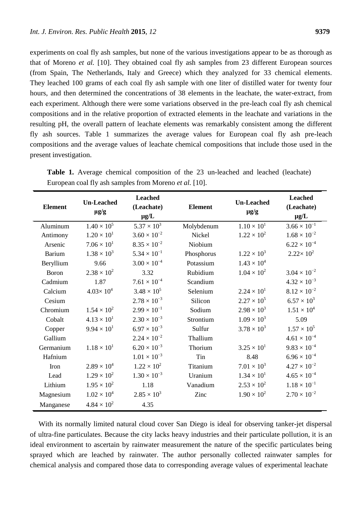experiments on coal fly ash samples, but none of the various investigations appear to be as thorough as that of Moreno *et al.* [10]. They obtained coal fly ash samples from 23 different European sources (from Spain, The Netherlands, Italy and Greece) which they analyzed for 33 chemical elements. They leached 100 grams of each coal fly ash sample with one liter of distilled water for twenty four hours, and then determined the concentrations of 38 elements in the leachate, the water-extract, from each experiment. Although there were some variations observed in the pre-leach coal fly ash chemical compositions and in the relative proportion of extracted elements in the leachate and variations in the resulting pH, the overall pattern of leachate elements was remarkably consistent among the different fly ash sources. Table 1 summarizes the average values for European coal fly ash pre-leach compositions and the average values of leachate chemical compositions that include those used in the present investigation.

| <b>Element</b> | <b>Un-Leached</b><br>$\mu$ g/g | <b>Leached</b><br>(Leachate)<br>$\mu g/L$ | <b>Element</b> | <b>Un-Leached</b><br>$\mu$ g/g | <b>Leached</b><br>(Leachate)<br>$\mu g/L$ |
|----------------|--------------------------------|-------------------------------------------|----------------|--------------------------------|-------------------------------------------|
| Aluminum       | $1.40 \times 10^{5}$           | $5.37\times10^3$                          | Molybdenum     | $1.10 \times 10^{1}$           | $3.66 \times 10^{-1}$                     |
| Antimony       | $1.20 \times 10^{1}$           | $3.60 \times 10^{-2}$                     | Nickel         | $1.22 \times 10^{2}$           | $1.68 \times 10^{-2}$                     |
| Arsenic        | $7.06 \times 10^{1}$           | $8.35 \times 10^{-2}$                     | Niobium        |                                | $6.22 \times 10^{-4}$                     |
| <b>Barium</b>  | $1.38 \times 10^{3}$           | $5.34 \times 10^{-1}$                     | Phosphorus     | $1.22 \times 10^{3}$           | $2.22 \times 10^{2}$                      |
| Beryllium      | 9.66                           | $3.00 \times 10^{-4}$                     | Potassium      | $1.43 \times 10^{4}$           |                                           |
| Boron          | $2.38 \times 10^{2}$           | 3.32                                      | Rubidium       | $1.04 \times 10^{2}$           | $3.04 \times 10^{-2}$                     |
| Cadmium        | 1.87                           | $7.61 \times 10^{-4}$                     | Scandium       |                                | $4.32 \times 10^{-3}$                     |
| Calcium        | $4.03 \times 10^{4}$           | $3.48 \times 10^{5}$                      | Selenium       | $2.24 \times 10^{1}$           | $8.12 \times 10^{-2}$                     |
| Cesium         |                                | $2.78 \times 10^{-3}$                     | Silicon        | $2.27 \times 10^{5}$           | $6.57 \times 10^{3}$                      |
| Chromium       | $1.54 \times 10^{2}$           | $2.99 \times 10^{-1}$                     | Sodium         | $2.98 \times 10^{3}$           | $1.51 \times 10^{4}$                      |
| Cobalt         | $4.13 \times 10^{1}$           | $2.30 \times 10^{-3}$                     | Strontium      | $1.09 \times 10^{3}$           | 5.09                                      |
| Copper         | $9.94 \times 10^{1}$           | $6.97 \times 10^{-3}$                     | Sulfur         | $3.78 \times 10^{3}$           | $1.57 \times 10^{5}$                      |
| Gallium        |                                | $2.24 \times 10^{-2}$                     | Thallium       |                                | $4.61\times10^{-4}$                       |
| Germanium      | $1.18 \times 10^{1}$           | $6.20 \times 10^{-3}$                     | Thorium        | $3.25 \times 10^{1}$           | $9.83 \times 10^{-4}$                     |
| Hafnium        |                                | $1.01 \times 10^{-3}$                     | Tin            | 8.48                           | $6.96\times10^{-4}$                       |
| Iron           | $2.89 \times 10^{4}$           | $1.22 \times 10^{2}$                      | Titanium       | $7.01 \times 10^{3}$           | $4.27 \times 10^{-2}$                     |
| Lead           | $1.29 \times 10^{2}$           | $1.30 \times 10^{-3}$                     | Uranium        | $1.34 \times 10^{1}$           | $4.65\times10^{-4}$                       |
| Lithium        | $1.95 \times 10^{2}$           | 1.18                                      | Vanadium       | $2.53 \times 10^{2}$           | $1.18 \times 10^{-1}$                     |
| Magnesium      | $1.02 \times 10^{4}$           | $2.85 \times 10^{3}$                      | Zinc           | $1.90 \times 10^{2}$           | $2.70 \times 10^{-2}$                     |
| Manganese      | $4.84 \times 10^{2}$           | 4.35                                      |                |                                |                                           |

**Table 1.** Average chemical composition of the 23 un-leached and leached (leachate) European coal fly ash samples from Moreno *et al.* [10].

With its normally limited natural cloud cover San Diego is ideal for observing tanker-jet dispersal of ultra-fine particulates. Because the city lacks heavy industries and their particulate pollution, it is an ideal environment to ascertain by rainwater measurement the nature of the specific particulates being sprayed which are leached by rainwater. The author personally collected rainwater samples for chemical analysis and compared those data to corresponding average values of experimental leachate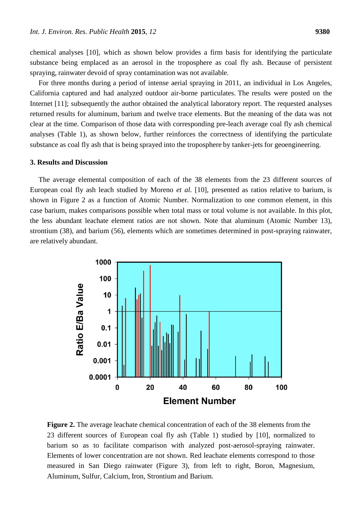chemical analyses [10], which as shown below provides a firm basis for identifying the particulate substance being emplaced as an aerosol in the troposphere as coal fly ash. Because of persistent spraying, rainwater devoid of spray contamination was not available.

For three months during a period of intense aerial spraying in 2011, an individual in Los Angeles, California captured and had analyzed outdoor air-borne particulates. The results were posted on the Internet [11]; subsequently the author obtained the analytical laboratory report. The requested analyses returned results for aluminum, barium and twelve trace elements. But the meaning of the data was not clear at the time. Comparison of those data with corresponding pre-leach average coal fly ash chemical analyses (Table 1), as shown below, further reinforces the correctness of identifying the particulate substance as coal fly ash that is being sprayed into the troposphere by tanker-jets for geoengineering.

#### **3. Results and Discussion**

The average elemental composition of each of the 38 elements from the 23 different sources of European coal fly ash leach studied by Moreno *et al.* [10], presented as ratios relative to barium, is shown in Figure 2 as a function of Atomic Number. Normalization to one common element, in this case barium, makes comparisons possible when total mass or total volume is not available. In this plot, the less abundant leachate element ratios are not shown. Note that aluminum (Atomic Number 13), strontium (38), and barium (56), elements which are sometimes determined in post-spraying rainwater, are relatively abundant.



**Figure 2.** The average leachate chemical concentration of each of the 38 elements from the 23 different sources of European coal fly ash (Table 1) studied by [10], normalized to barium so as to facilitate comparison with analyzed post-aerosol-spraying rainwater. Elements of lower concentration are not shown. Red leachate elements correspond to those measured in San Diego rainwater (Figure 3), from left to right, Boron, Magnesium, Aluminum, Sulfur, Calcium, Iron, Strontium and Barium.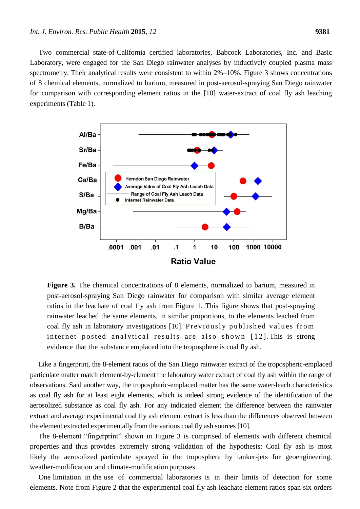Two commercial state-of-California certified laboratories, Babcock Laboratories, Inc. and Basic Laboratory, were engaged for the San Diego rainwater analyses by inductively coupled plasma mass spectrometry. Their analytical results were consistent to within 2%–10%. Figure 3 shows concentrations of 8 chemical elements, normalized to barium, measured in post-aerosol-spraying San Diego rainwater for comparison with corresponding element ratios in the [10] water-extract of coal fly ash leaching experiments (Table 1).



**Figure 3.** The chemical concentrations of 8 elements, normalized to barium, measured in post-aerosol-spraying San Diego rainwater for comparison with similar average element ratios in the leachate of coal fly ash from Figure 1. This figure shows that post-spraying rainwater leached the same elements, in similar proportions, to the elements leached from coal fly ash in laboratory investigations [10]. Previously published values from internet posted analytical results are also shown [12]. This is strong evidence that the substance emplaced into the troposphere is coal fly ash.

Like a fingerprint, the 8-element ratios of the San Diego rainwater extract of the tropospheric-emplaced particulate matter match element-by-element the laboratory water extract of coal fly ash within the range of observations. Said another way, the tropospheric-emplaced matter has the same water-leach characteristics as coal fly ash for at least eight elements, which is indeed strong evidence of the identification of the aerosolized substance as coal fly ash. For any indicated element the difference between the rainwater extract and average experimental coal fly ash element extract is less than the differences observed between the element extracted experimentally from the various coal fly ash sources [10].

The 8-element "fingerprint" shown in Figure 3 is comprised of elements with different chemical properties and thus provides extremely strong validation of the hypothesis: Coal fly ash is most likely the aerosolized particulate sprayed in the troposphere by tanker-jets for geoengineering, weather-modification and climate-modification purposes.

One limitation in the use of commercial laboratories is in their limits of detection for some elements. Note from Figure 2 that the experimental coal fly ash leachate element ratios span six orders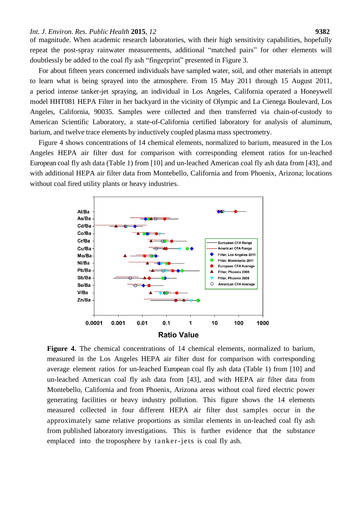#### *Int. J. Environ. Res. Public Health* **2015**, *12* **9382**

of magnitude. When academic research laboratories, with their high sensitivity capabilities, hopefully repeat the post-spray rainwater measurements, additional "matched pairs" for other elements will doubtlessly be added to the coal fly ash "fingerprint" presented in Figure 3.

For about fifteen years concerned individuals have sampled water, soil, and other materials in attempt to learn what is being sprayed into the atmosphere. From 15 May 2011 through 15 August 2011, a period intense tanker-jet spraying, an individual in Los Angeles, California operated a Honeywell model HHT081 HEPA Filter in her backyard in the vicinity of Olympic and La Cienega Boulevard, Los Angeles, California, 90035. Samples were collected and then transferred via chain-of-custody to American Scientific Laboratory, a state-of-California certified laboratory for analysis of aluminum, barium, and twelve trace elements by inductively coupled plasma mass spectrometry.

Figure 4 shows concentrations of 14 chemical elements, normalized to barium, measured in the Los Angeles HEPA air filter dust for comparison with corresponding element ratios for un-leached European coal fly ash data (Table 1) from [10] and un-leached American coal fly ash data from [43], and with additional HEPA air filter data from Montebello, California and from Phoenix, Arizona; locations without coal fired utility plants or heavy industries.



**Figure 4.** The chemical concentrations of 14 chemical elements, normalized to barium, measured in the Los Angeles HEPA air filter dust for comparison with corresponding average element ratios for un-leached European coal fly ash data (Table 1) from [10] and un-leached American coal fly ash data from [43], and with HEPA air filter data from Montebello, California and from Phoenix, Arizona areas without coal fired electric power generating facilities or heavy industry pollution. This figure shows the 14 elements measured collected in four different HEPA air filter dust samples occur in the approximately same relative proportions as similar elements in un-leached coal fly ash from published laboratory investigations. This is further evidence that the substance emplaced into the troposphere by tanker-jets is coal fly ash.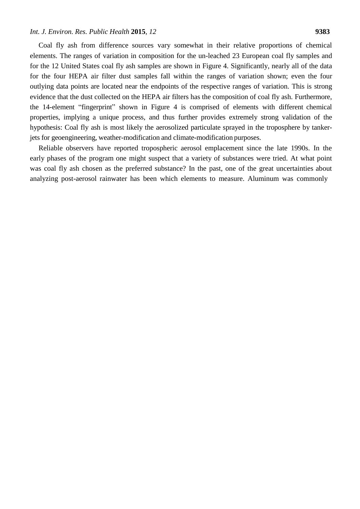#### *Int. J. Environ. Res. Public Health* **2015**, *12* **9383**

Coal fly ash from difference sources vary somewhat in their relative proportions of chemical elements. The ranges of variation in composition for the un-leached 23 European coal fly samples and for the 12 United States coal fly ash samples are shown in Figure 4. Significantly, nearly all of the data for the four HEPA air filter dust samples fall within the ranges of variation shown; even the four outlying data points are located near the endpoints of the respective ranges of variation. This is strong evidence that the dust collected on the HEPA air filters has the composition of coal fly ash. Furthermore, the 14-element "fingerprint" shown in Figure 4 is comprised of elements with different chemical properties, implying a unique process, and thus further provides extremely strong validation of the hypothesis: Coal fly ash is most likely the aerosolized particulate sprayed in the troposphere by tankerjets for geoengineering, weather-modification and climate-modification purposes.

Reliable observers have reported tropospheric aerosol emplacement since the late 1990s. In the early phases of the program one might suspect that a variety of substances were tried. At what point was coal fly ash chosen as the preferred substance? In the past, one of the great uncertainties about analyzing post-aerosol rainwater has been which elements to measure. Aluminum was commonly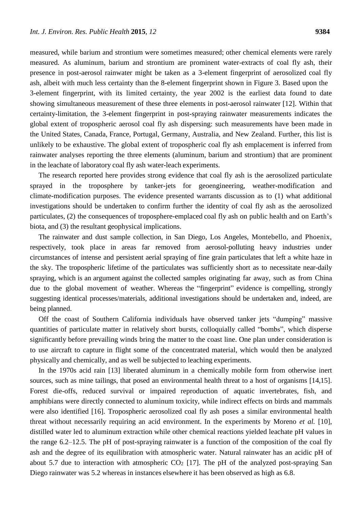measured, while barium and strontium were sometimes measured; other chemical elements were rarely measured. As aluminum, barium and strontium are prominent water-extracts of coal fly ash, their presence in post-aerosol rainwater might be taken as a 3-element fingerprint of aerosolized coal fly ash, albeit with much less certainty than the 8-element fingerprint shown in Figure 3. Based upon the 3-element fingerprint, with its limited certainty, the year 2002 is the earliest data found to date showing simultaneous measurement of these three elements in post-aerosol rainwater [12]. Within that certainty-limitation, the 3-element fingerprint in post-spraying rainwater measurements indicates the global extent of tropospheric aerosol coal fly ash dispersing: such measurements have been made in the United States, Canada, France, Portugal, Germany, Australia, and New Zealand. Further, this list is unlikely to be exhaustive. The global extent of tropospheric coal fly ash emplacement is inferred from rainwater analyses reporting the three elements (aluminum, barium and strontium) that are prominent in the leachate of laboratory coal fly ash water-leach experiments.

The research reported here provides strong evidence that coal fly ash is the aerosolized particulate sprayed in the troposphere by tanker-jets for geoengineering, weather-modification and climate-modification purposes. The evidence presented warrants discussion as to (1) what additional investigations should be undertaken to confirm further the identity of coal fly ash as the aerosolized particulates, (2) the consequences of troposphere-emplaced coal fly ash on public health and on Earth's biota, and (3) the resultant geophysical implications.

The rainwater and dust sample collection, in San Diego, Los Angeles, Montebello, and Phoenix, respectively, took place in areas far removed from aerosol-polluting heavy industries under circumstances of intense and persistent aerial spraying of fine grain particulates that left a white haze in the sky. The tropospheric lifetime of the particulates was sufficiently short as to necessitate near-daily spraying, which is an argument against the collected samples originating far away, such as from China due to the global movement of weather. Whereas the "fingerprint" evidence is compelling, strongly suggesting identical processes/materials, additional investigations should be undertaken and, indeed, are being planned.

Off the coast of Southern California individuals have observed tanker jets "dumping" massive quantities of particulate matter in relatively short bursts, colloquially called "bombs", which disperse significantly before prevailing winds bring the matter to the coast line. One plan under consideration is to use aircraft to capture in flight some of the concentrated material, which would then be analyzed physically and chemically, and as well be subjected to leaching experiments.

In the 1970s acid rain [13] liberated aluminum in a chemically mobile form from otherwise inert sources, such as mine tailings, that posed an environmental health threat to a host of organisms [14,15]. Forest die-offs, reduced survival or impaired reproduction of aquatic invertebrates, fish, and amphibians were directly connected to aluminum toxicity, while indirect effects on birds and mammals were also identified [16]. Tropospheric aerosolized coal fly ash poses a similar environmental health threat without necessarily requiring an acid environment. In the experiments by Moreno *et al.* [10], distilled water led to aluminum extraction while other chemical reactions yielded leachate pH values in the range 6.2–12.5. The pH of post-spraying rainwater is a function of the composition of the coal fly ash and the degree of its equilibration with atmospheric water. Natural rainwater has an acidic pH of about 5.7 due to interaction with atmospheric  $CO<sub>2</sub>$  [17]. The pH of the analyzed post-spraying San Diego rainwater was 5.2 whereas in instances elsewhere it has been observed as high as 6.8.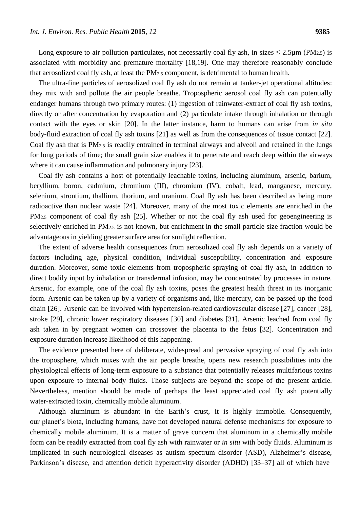Long exposure to air pollution particulates, not necessarily coal fly ash, in sizes  $\leq 2.5 \mu m$  (PM<sub>2.5</sub>) is associated with morbidity and premature mortality [18,19]. One may therefore reasonably conclude that aerosolized coal fly ash, at least the PM2.5 component, is detrimental to human health.

The ultra-fine particles of aerosolized coal fly ash do not remain at tanker-jet operational altitudes: they mix with and pollute the air people breathe. Tropospheric aerosol coal fly ash can potentially endanger humans through two primary routes: (1) ingestion of rainwater-extract of coal fly ash toxins, directly or after concentration by evaporation and (2) particulate intake through inhalation or through contact with the eyes or skin [20]. In the latter instance, harm to humans can arise from *in situ*  body-fluid extraction of coal fly ash toxins [21] as well as from the consequences of tissue contact [22]. Coal fly ash that is PM2.5 is readily entrained in terminal airways and alveoli and retained in the lungs for long periods of time; the small grain size enables it to penetrate and reach deep within the airways where it can cause inflammation and pulmonary injury [23].

Coal fly ash contains a host of potentially leachable toxins, including aluminum, arsenic, barium, beryllium, boron, cadmium, chromium (III), chromium (IV), cobalt, lead, manganese, mercury, selenium, strontium, thallium, thorium, and uranium. Coal fly ash has been described as being more radioactive than nuclear waste [24]. Moreover, many of the most toxic elements are enriched in the PM<sub>2.5</sub> component of coal fly ash [25]. Whether or not the coal fly ash used for geoengineering is selectively enriched in PM2.5 is not known, but enrichment in the small particle size fraction would be advantageous in yielding greater surface area for sunlight reflection.

The extent of adverse health consequences from aerosolized coal fly ash depends on a variety of factors including age, physical condition, individual susceptibility, concentration and exposure duration. Moreover, some toxic elements from tropospheric spraying of coal fly ash, in addition to direct bodily input by inhalation or transdermal infusion, may be concentrated by processes in nature. Arsenic, for example, one of the coal fly ash toxins, poses the greatest health threat in its inorganic form. Arsenic can be taken up by a variety of organisms and, like mercury, can be passed up the food chain [26]. Arsenic can be involved with hypertension-related cardiovascular disease [27], cancer [28], stroke [29], chronic lower respiratory diseases [30] and diabetes [31]. Arsenic leached from coal fly ash taken in by pregnant women can crossover the placenta to the fetus [32]. Concentration and exposure duration increase likelihood of this happening.

The evidence presented here of deliberate, widespread and pervasive spraying of coal fly ash into the troposphere, which mixes with the air people breathe, opens new research possibilities into the physiological effects of long-term exposure to a substance that potentially releases multifarious toxins upon exposure to internal body fluids. Those subjects are beyond the scope of the present article. Nevertheless, mention should be made of perhaps the least appreciated coal fly ash potentially water-extracted toxin, chemically mobile aluminum.

Although aluminum is abundant in the Earth's crust, it is highly immobile. Consequently, our planet's biota, including humans, have not developed natural defense mechanisms for exposure to chemically mobile aluminum. It is a matter of grave concern that aluminum in a chemically mobile form can be readily extracted from coal fly ash with rainwater or *in situ* with body fluids. Aluminum is implicated in such neurological diseases as autism spectrum disorder (ASD), Alzheimer's disease, Parkinson's disease, and attention deficit hyperactivity disorder (ADHD) [33–37] all of which have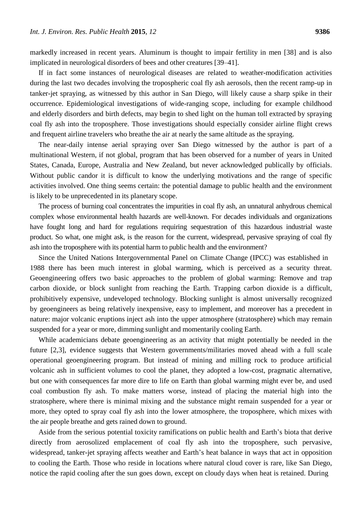markedly increased in recent years. Aluminum is thought to impair fertility in men [38] and is also implicated in neurological disorders of bees and other creatures [39–41].

If in fact some instances of neurological diseases are related to weather-modification activities during the last two decades involving the tropospheric coal fly ash aerosols, then the recent ramp-up in tanker-jet spraying, as witnessed by this author in San Diego, will likely cause a sharp spike in their occurrence. Epidemiological investigations of wide-ranging scope, including for example childhood and elderly disorders and birth defects, may begin to shed light on the human toll extracted by spraying coal fly ash into the troposphere. Those investigations should especially consider airline flight crews and frequent airline travelers who breathe the air at nearly the same altitude as the spraying.

The near-daily intense aerial spraying over San Diego witnessed by the author is part of a multinational Western, if not global, program that has been observed for a number of years in United States, Canada, Europe, Australia and New Zealand, but never acknowledged publically by officials. Without public candor it is difficult to know the underlying motivations and the range of specific activities involved. One thing seems certain: the potential damage to public health and the environment is likely to be unprecedented in its planetary scope.

The process of burning coal concentrates the impurities in coal fly ash, an unnatural anhydrous chemical complex whose environmental health hazards are well-known. For decades individuals and organizations have fought long and hard for regulations requiring sequestration of this hazardous industrial waste product. So what, one might ask, is the reason for the current, widespread, pervasive spraying of coal fly ash into the troposphere with its potential harm to public health and the environment?

Since the United Nations Intergovernmental Panel on Climate Change (IPCC) was established in 1988 there has been much interest in global warming, which is perceived as a security threat. Geoengineering offers two basic approaches to the problem of global warming: Remove and trap carbon dioxide, or block sunlight from reaching the Earth. Trapping carbon dioxide is a difficult, prohibitively expensive, undeveloped technology. Blocking sunlight is almost universally recognized by geoengineers as being relatively inexpensive, easy to implement, and moreover has a precedent in nature: major volcanic eruptions inject ash into the upper atmosphere (stratosphere) which may remain suspended for a year or more, dimming sunlight and momentarily cooling Earth.

While academicians debate geoengineering as an activity that might potentially be needed in the future [2,3], evidence suggests that Western governments/militaries moved ahead with a full scale operational geoengineering program. But instead of mining and milling rock to produce artificial volcanic ash in sufficient volumes to cool the planet, they adopted a low-cost, pragmatic alternative, but one with consequences far more dire to life on Earth than global warming might ever be, and used coal combustion fly ash. To make matters worse, instead of placing the material high into the stratosphere, where there is minimal mixing and the substance might remain suspended for a year or more, they opted to spray coal fly ash into the lower atmosphere, the troposphere, which mixes with the air people breathe and gets rained down to ground.

Aside from the serious potential toxicity ramifications on public health and Earth's biota that derive directly from aerosolized emplacement of coal fly ash into the troposphere, such pervasive, widespread, tanker-jet spraying affects weather and Earth's heat balance in ways that act in opposition to cooling the Earth. Those who reside in locations where natural cloud cover is rare, like San Diego, notice the rapid cooling after the sun goes down, except on cloudy days when heat is retained. During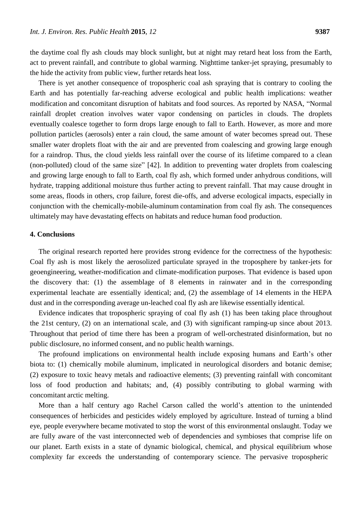the daytime coal fly ash clouds may block sunlight, but at night may retard heat loss from the Earth, act to prevent rainfall, and contribute to global warming. Nighttime tanker-jet spraying, presumably to the hide the activity from public view, further retards heat loss.

There is yet another consequence of tropospheric coal ash spraying that is contrary to cooling the Earth and has potentially far-reaching adverse ecological and public health implications: weather modification and concomitant disruption of habitats and food sources. As reported by NASA, "Normal rainfall droplet creation involves water vapor condensing on particles in clouds. The droplets eventually coalesce together to form drops large enough to fall to Earth. However, as more and more pollution particles (aerosols) enter a rain cloud, the same amount of water becomes spread out. These smaller water droplets float with the air and are prevented from coalescing and growing large enough for a raindrop. Thus, the cloud yields less rainfall over the course of its lifetime compared to a clean (non-polluted) cloud of the same size" [42]. In addition to preventing water droplets from coalescing and growing large enough to fall to Earth, coal fly ash, which formed under anhydrous conditions, will hydrate, trapping additional moisture thus further acting to prevent rainfall. That may cause drought in some areas, floods in others, crop failure, forest die-offs, and adverse ecological impacts, especially in conjunction with the chemically-mobile-aluminum contamination from coal fly ash. The consequences ultimately may have devastating effects on habitats and reduce human food production.

## **4. Conclusions**

The original research reported here provides strong evidence for the correctness of the hypothesis: Coal fly ash is most likely the aerosolized particulate sprayed in the troposphere by tanker-jets for geoengineering, weather-modification and climate-modification purposes. That evidence is based upon the discovery that: (1) the assemblage of 8 elements in rainwater and in the corresponding experimental leachate are essentially identical; and, (2) the assemblage of 14 elements in the HEPA dust and in the corresponding average un-leached coal fly ash are likewise essentially identical.

Evidence indicates that tropospheric spraying of coal fly ash (1) has been taking place throughout the 21st century, (2) on an international scale, and (3) with significant ramping-up since about 2013. Throughout that period of time there has been a program of well-orchestrated disinformation, but no public disclosure, no informed consent, and no public health warnings.

The profound implications on environmental health include exposing humans and Earth's other biota to: (1) chemically mobile aluminum, implicated in neurological disorders and botanic demise; (2) exposure to toxic heavy metals and radioactive elements; (3) preventing rainfall with concomitant loss of food production and habitats; and, (4) possibly contributing to global warming with concomitant arctic melting.

More than a half century ago Rachel Carson called the world's attention to the unintended consequences of herbicides and pesticides widely employed by agriculture. Instead of turning a blind eye, people everywhere became motivated to stop the worst of this environmental onslaught. Today we are fully aware of the vast interconnected web of dependencies and symbioses that comprise life on our planet. Earth exists in a state of dynamic biological, chemical, and physical equilibrium whose complexity far exceeds the understanding of contemporary science. The pervasive tropospheric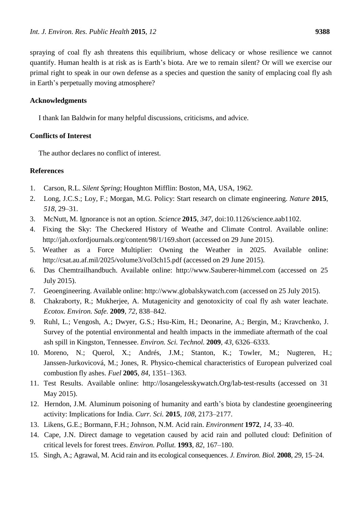spraying of coal fly ash threatens this equilibrium, whose delicacy or whose resilience we cannot quantify. Human health is at risk as is Earth's biota. Are we to remain silent? Or will we exercise our primal right to speak in our own defense as a species and question the sanity of emplacing coal fly ash in Earth's perpetually moving atmosphere?

## **Acknowledgments**

I thank Ian Baldwin for many helpful discussions, criticisms, and advice.

## **Conflicts of Interest**

The author declares no conflict of interest.

## **References**

- 1. Carson, R.L. *Silent Spring*; Houghton Mifflin: Boston, MA, USA, 1962.
- 2. Long, J.C.S.; Loy, F.; Morgan, M.G. Policy: Start research on climate engineering. *Nature* **2015**, *518*, 29–31.
- 3. McNutt, M. Ignorance is not an option. *Science* **2015**, *347*, doi:10.1126/science.aab1102.
- 4. Fixing the Sky: The Checkered History of Weathe and Climate Control. Available online: <http://jah.oxfordjournals.org/content/98/1/169.short> (accessed on 29 June 2015).
- 5. Weather as a Force Multiplier: Owning the Weather in 2025. Available online: <http://csat.au.af.mil/2025/volume3/vol3ch15.pdf> (accessed on 29 June 2015).
- 6. Das Chemtrailhandbuch. Available online: [http://www.Sauberer-himmel.com](http://www.sauberer-himmel.com/) (accessed on 25 July 2015).
- 7. Geoengineering. Available online: [http://www.globalskywatch.com](http://www.globalskywatch.com/) (accessed on 25 July 2015).
- 8. Chakraborty, R.; Mukherjee, A. Mutagenicity and genotoxicity of coal fly ash water leachate. *Ecotox. Environ. Safe.* **2009**, *72*, 838–842.
- 9. Ruhl, L.; Vengosh, A.; Dwyer, G.S.; Hsu-Kim, H.; [Deonarine,](http://pubs.acs.org/action/doSearch?ContribStored=Deonarine%2C%2BA) A.; [Bergin,](http://pubs.acs.org/action/doSearch?ContribStored=Bergin%2C%2BM) M.; [Kravchenko,](http://pubs.acs.org/action/doSearch?ContribStored=Kravchenko%2C%2BJ) J. Survey of the potential environmental and health impacts in the immediate aftermath of the coal ash spill in Kingston, Tennessee. *Environ. Sci. Technol.* **2009**, *43*, 6326–6333.
- 10. Moreno, N.; Querol, X.; Andrés, J.M.; Stanton, K.; Towler, M.; Nugteren, H.; Janssen-Jurkovicová, M.; Jones, R. Physico-chemical characteristics of European pulverized coal combustion fly ashes. *Fuel* **2005**, *84*, 1351–1363.
- 11. Test Results. Available online: [http://losangelesskywatch.Org/lab-test-results](http://losangelesskywatch.org/lab-test-results) (accessed on 31 May 2015).
- 12. Herndon, J.M. Aluminum poisoning of humanity and earth's biota by clandestine geoengineering activity: Implications for India. *Curr. Sci.* **2015**, *108*, 2173–2177.
- 13. Likens, G.E.; Bormann, F.H.; Johnson, N.M. Acid rain. *Environment* **1972**, *14*, 33–40.
- 14. Cape, J.N. Direct damage to vegetation caused by acid rain and polluted cloud: Definition of critical levels for forest trees. *Environ. Pollut.* **1993**, *82*, 167–180.
- 15. Singh, A.; Agrawal, M. Acid rain and its ecological consequences. *J. Environ. Biol.* **2008**, *29*, 15–24.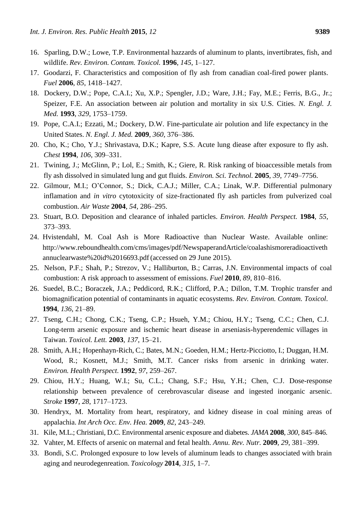- 16. Sparling, D.W.; Lowe, T.P. Environmental hazzards of aluminum to plants, invertibrates, fish, and wildlife. *Rev. Environ. Contam. Toxicol.* **1996**, *145*, 1–127.
- 17. Goodarzi, F. Characteristics and composition of fly ash from canadian coal-fired power plants. *Fuel* **2006**, *85*, 1418–1427.
- 18. Dockery, D.W.; Pope, C.A.I.; Xu, X.P.; Spengler, J.D.; Ware, J.H.; Fay, M.E.; Ferris, B.G., Jr.; Speizer, F.E. An association between air polution and mortality in six U.S. Cities. *N. Engl. J. Med.* **1993**, *329*, 1753–1759.
- 19. Pope, C.A.I.; Ezzati, M.; Dockery, D.W. Fine-particulate air polution and life expectancy in the United States. *N. Engl. J. Med.* **2009**, *360*, 376–386.
- 20. Cho, K.; Cho, Y.J.; Shrivastava, D.K.; Kapre, S.S. Acute lung diease after exposure to fly ash. *Chest* **1994**, *106*, 309–331.
- 21. Twining, J.; McGlinn, P.; Lol, E.; Smith, K.; Giere, R. Risk ranking of bioaccessible metals from fly ash dissolved in simulated lung and gut fluids. *Environ. Sci. Technol.* **2005**, *39*, 7749–7756.
- 22. Gilmour, M.I.; O'Connor, S.; Dick, C.A.J.; Miller, C.A.; Linak, W.P. Differential pulmonary inflamation and *in vitro* cytotoxicity of size-fractionated fly ash particles from pulverized coal combustion. *Air Waste* **2004**, *54*, 286–295.
- 23. Stuart, B.O. Deposition and clearance of inhaled particles. *Environ. Health Perspect.* **1984**, *55*, 373–393.
- 24. Hvistendahl, M. Coal Ash is More Radioactive than Nuclear Waste. Available online[:](http://www.reboundhealth.com/cms/images/pdf/NewspaperandArticle/coalashismoreradioactiveth) <http://www.reboundhealth.com/cms/images/pdf/NewspaperandArticle/coalashismoreradioactiveth> annuclearwaste%20id%2016693.pdf (accessed on 29 June 2015).
- 25. Nelson, P.F.; Shah, P.; Strezov, V.; Halliburton, B.; Carras, J.N. Environmental impacts of coal combustion: A risk approach to assessment of emissions. *Fuel* **2010**, *89*, 810–816.
- 26. Suedel, B.C.; [Boraczek](http://link.springer.com/search?facet-creator=%22J.%2BA.%2BBoraczek%22), J.A.; [Peddicord](http://link.springer.com/search?facet-creator=%22R.%2BK.%2BPeddicord%22), R.K.; [Cliffo](http://link.springer.com/search?facet-creator=%22P.%2BA.%2BClifford%22)rd, P.A.; [Dillo](http://link.springer.com/search?facet-creator=%22T.%2BM.%2BDillon%22)n, T.M. Trophic transfer and biomagnification potential of contaminants in aquatic ecosystems. *Rev. Environ. Contam. Toxicol*. **1994**, *136*, 21–89.
- 27. Tseng, C.H.; Chong, C.K.; Tseng, C.P.; Hsueh, Y.M.; Chiou, H.Y.; Tseng, C.C.; Chen, C.J. Long-term arsenic exposure and ischemic heart disease in arseniasis-hyperendemic villages in Taiwan. *Toxicol. Lett.* **2003**, *137*, 15–21.
- 28. Smith, A.H.; Hopenhayn-Rich, C.; Bates, M.N.; [Goeden,](http://www.ncbi.nlm.nih.gov/pubmed/?term=Goeden%20HM%5Bauth%5D) H.M.; [Hertz-Picciotto](http://www.ncbi.nlm.nih.gov/pubmed/?term=Hertz-Picciotto%20I%5Bauth%5D), I.; Duggan, H.M. [Wood, R](http://www.ncbi.nlm.nih.gov/pubmed/?term=Wood%20R%5Bauth%5D).; [Kosnett,](http://www.ncbi.nlm.nih.gov/pubmed/?term=Kosnett%20MJ%5Bauth%5D) M.J.; [Smith, M](http://www.ncbi.nlm.nih.gov/pubmed/?term=Smith%20MT%5Bauth%5D).T. Cancer risks from arsenic in drinking water. *Environ. Health Perspect.* **1992**, *97*, 259–267.
- 29. Chiou, H.Y.; Huang, W.I.; Su, C.L.; Chang, S.F.; Hsu, Y.H.; Chen, C.J. Dose-response relationship between prevalence of cerebrovascular disease and ingested inorganic arsenic. *Stroke* **1997**, *28*, 1717–1723.
- 30. Hendryx, M. Mortality from heart, respiratory, and kidney disease in coal mining areas of appalachia. *Int Arch Occ. Env. Hea.* **2009**, *82*, 243–249.
- 31. Kile, M.L.; Christiani, D.C. Environmental arsenic exposure and diabetes. *JAMA* **2008**, *300*, 845–846.
- 32. Vahter, M. Effects of arsenic on maternal and fetal health. *Annu. Rev. Nutr.* **2009**, *29*, 381–399.
- 33. Bondi, S.C. Prolonged exposure to low levels of aluminum leads to changes associated with brain aging and neurodegenreation. *Toxicology* **2014**, *315*, 1–7.